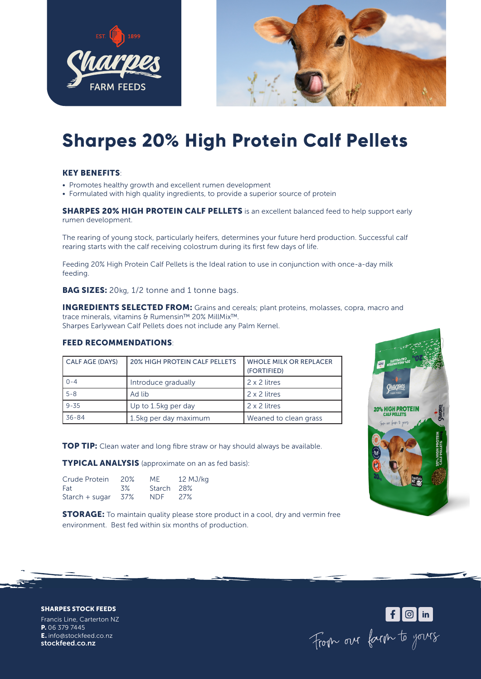



# **Sharpes 20% High Protein Calf Pellets**

### KEY BENEFITS:

- Promotes healthy growth and excellent rumen development
- Formulated with high quality ingredients, to provide a superior source of protein

**SHARPES 20% HIGH PROTEIN CALF PELLETS** is an excellent balanced feed to help support early rumen development.

The rearing of young stock, particularly heifers, determines your future herd production. Successful calf rearing starts with the calf receiving colostrum during its first few days of life.

Feeding 20% High Protein Calf Pellets is the Ideal ration to use in conjunction with once-a-day milk feeding.

**BAG SIZES:** 20kg, 1/2 tonne and 1 tonne bags.

INGREDIENTS SELECTED FROM: Grains and cereals; plant proteins, molasses, copra, macro and trace minerals, vitamins & Rumensin™ 20% MillMix™. Sharpes Earlywean Calf Pellets does not include any Palm Kernel.

### FEED RECOMMENDATIONS:

| CALF AGE (DAYS) | 20% HIGH PROTEIN CALF PELLETS | <b>WHOLE MILK OR REPLACER</b><br>(FORTIFIED) |
|-----------------|-------------------------------|----------------------------------------------|
| $0 - 4$         | Introduce gradually           | 2 x 2 litres                                 |
| $5 - 8$         | Ad lib                        | 2 x 2 litres                                 |
| $9 - 35$        | Up to 1.5kg per day           | 2 x 2 litres                                 |
| $36 - 84$       | 1.5kg per day maximum         | Weaned to clean grass                        |

**TOP TIP:** Clean water and long fibre straw or hay should always be available.

TYPICAL ANALYSIS (approximate on an as fed basis):

| Crude Protein  | 20%   | MF.        | 12 MJ/kg   |
|----------------|-------|------------|------------|
| Fat            | 3%    | Starch 28% |            |
| Starch + sugar | - 37% | NDF.       | <b>27%</b> |

**STORAGE:** To maintain quality please store product in a cool, dry and vermin free environment. Best fed within six months of production.



SHARPES STOCK FEEDS

Francis Line, Carterton NZ P. 06 379 7445 E. info@stockfeed.co.nz stockfeed.co.nz